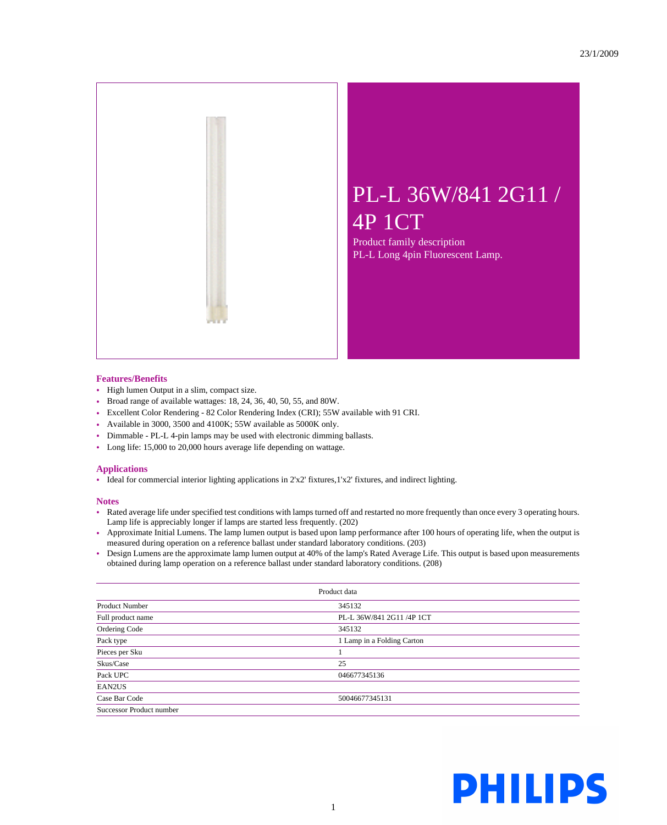

## PL-L 36W/841 2G11 / 4P 1CT

Product family description PL-L Long 4pin Fluorescent Lamp.

## **Features/Benefits**

- High lumen Output in a slim, compact size.
- Broad range of available wattages: 18, 24, 36, 40, 50, 55, and 80W.
- Excellent Color Rendering 82 Color Rendering Index (CRI); 55W available with 91 CRI.
- Available in 3000, 3500 and 4100K; 55W available as 5000K only.
- Dimmable PL-L 4-pin lamps may be used with electronic dimming ballasts.
- Long life: 15,000 to 20,000 hours average life depending on wattage.

## **Applications**

• Ideal for commercial interior lighting applications in 2'x2' fixtures,1'x2' fixtures, and indirect lighting.

## **Notes**

- Rated average life under specified test conditions with lamps turned off and restarted no more frequently than once every 3 operating hours. Lamp life is appreciably longer if lamps are started less frequently. (202)
- Approximate Initial Lumens. The lamp lumen output is based upon lamp performance after 100 hours of operating life, when the output is measured during operation on a reference ballast under standard laboratory conditions. (203)
- Design Lumens are the approximate lamp lumen output at 40% of the lamp's Rated Average Life. This output is based upon measurements obtained during lamp operation on a reference ballast under standard laboratory conditions. (208)

| Product data             |                            |
|--------------------------|----------------------------|
| <b>Product Number</b>    | 345132                     |
| Full product name        | PL-L 36W/841 2G11 /4P 1CT  |
| Ordering Code            | 345132                     |
| Pack type                | 1 Lamp in a Folding Carton |
| Pieces per Sku           |                            |
| Skus/Case                | 25                         |
| Pack UPC                 | 046677345136               |
| EAN2US                   |                            |
| Case Bar Code            | 50046677345131             |
| Successor Product number |                            |

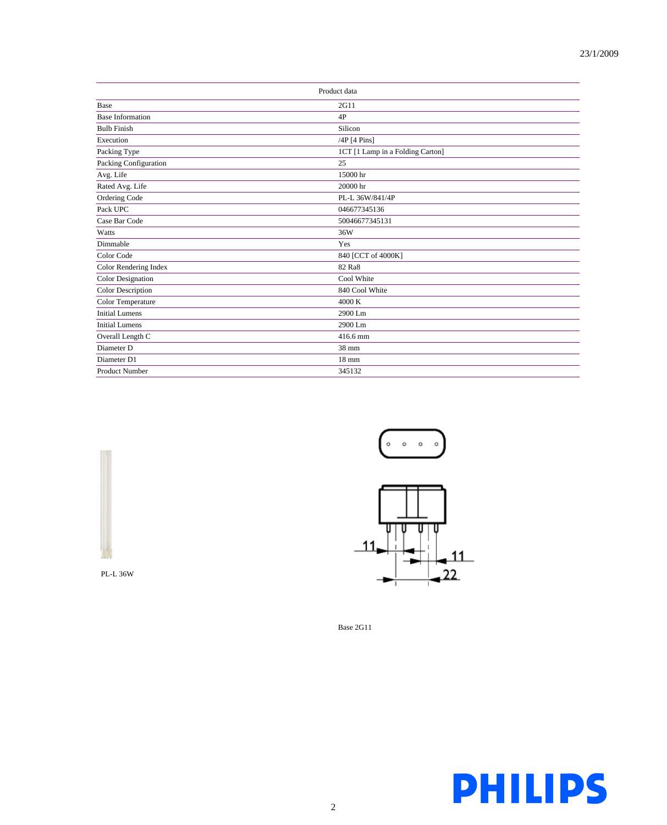| Product data             |                                  |
|--------------------------|----------------------------------|
| Base                     | 2G11                             |
| <b>Base Information</b>  | 4P                               |
| <b>Bulb Finish</b>       | Silicon                          |
| Execution                | /4P [4 Pins]                     |
| Packing Type             | 1CT [1 Lamp in a Folding Carton] |
| Packing Configuration    | 25                               |
| Avg. Life                | 15000 hr                         |
| Rated Avg. Life          | 20000 hr                         |
| Ordering Code            | PL-L 36W/841/4P                  |
| Pack UPC                 | 046677345136                     |
| Case Bar Code            | 50046677345131                   |
| Watts                    | 36W                              |
| Dimmable                 | Yes                              |
| Color Code               | 840 [CCT of 4000K]               |
| Color Rendering Index    | 82 Ra8                           |
| <b>Color Designation</b> | Cool White                       |
| Color Description        | 840 Cool White                   |
| Color Temperature        | 4000 K                           |
| <b>Initial Lumens</b>    | 2900 Lm                          |
| <b>Initial Lumens</b>    | 2900 Lm                          |
| Overall Length C         | 416.6 mm                         |
| Diameter D               | 38 mm                            |
| Diameter D1              | $18 \text{ mm}$                  |
| <b>Product Number</b>    | 345132                           |





Base 2G11